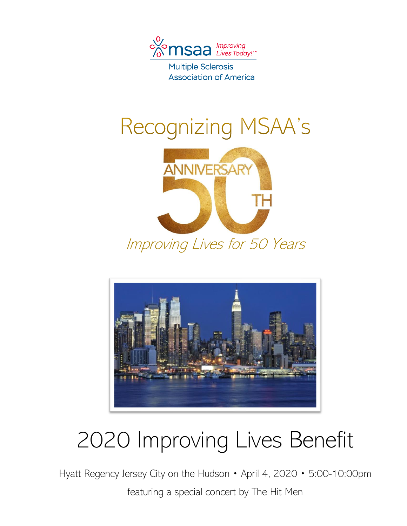

**Multiple Sclerosis Association of America** 

# Recognizing MSAA's



Improving Lives for 50 Years



# 2020 Improving Lives Benefit

Hyatt Regency Jersey City on the Hudson • April 4, 2020 • 5:00-10:00pm

featuring a special concert by The Hit Men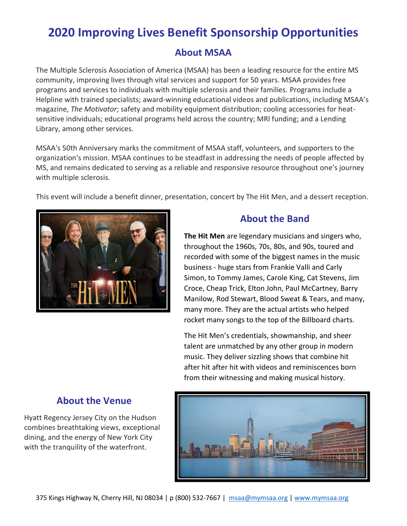### **About MSAA**

The Multiple Sclerosis Association of America (MSAA) has been a leading resource for the entire MS community, improving lives through vital services and support for 50 years. MSAA provides free programs and services to individuals with multiple sclerosis and their families. Programs include a Helpline with trained specialists; award-winning educational videos and publications, including MSAA's magazine, *The Motivator*; safety and mobility equipment distribution; cooling accessories for heatsensitive individuals; educational programs held across the country; MRI funding; and a Lending Library, among other services.

MSAA's 50th Anniversary marks the commitment of MSAA staff, volunteers, and supporters to the organization's mission. MSAA continues to be steadfast in addressing the needs of people affected by MS, and remains dedicated to serving as a reliable and responsive resource throughout one's journey with multiple sclerosis.

This event will include a benefit dinner, presentation, concert by The Hit Men, and a dessert reception.



### **About the Band**

**The Hit Men** are legendary musicians and singers who, throughout the 1960s, 70s, 80s, and 90s, toured and recorded with some of the biggest names in the music business - huge stars from Frankie Valli and Carly Simon, to Tommy James, Carole King, Cat Stevens, Jim Croce, Cheap Trick, Elton John, Paul McCartney, Barry Manilow, Rod Stewart, Blood Sweat & Tears, and many, many more. They are the actual artists who helped rocket many songs to the top of the Billboard charts.

The Hit Men's credentials, showmanship, and sheer talent are unmatched by any other group in modern music. They deliver sizzling shows that combine hit after hit after hit with videos and reminiscences born from their witnessing and making musical history.



## **About the Venue**

Hyatt Regency Jersey City on the Hudson combines breathtaking views, exceptional dining, and the energy of New York City with the tranquility of the waterfront.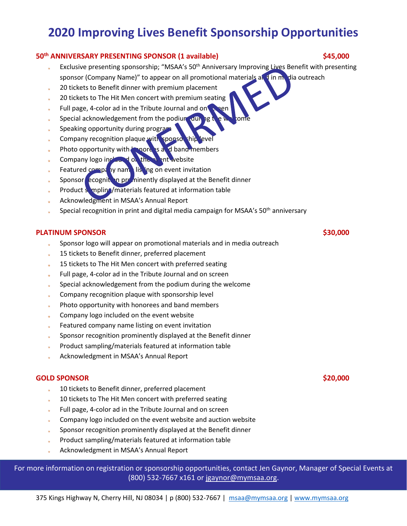#### **50th ANNIVERSARY PRESENTING SPONSOR (1 available) \$45,000**

- Exclusive presenting sponsorship; "MSAA's 50<sup>th</sup> Anniversary Improving Lives Benefit with presenting sponsor (Company Name)" to appear on all promotional materials and in media outreach
- 20 tickets to Benefit dinner with premium placement
- 20 tickets to The Hit Men concert with premium seating
- Full page, 4-color ad in the Tribute Journal and on  $\mathbb{R}$  sen
- Special acknowledgement from the podium during the welcome
- Speaking opportunity during program
- Company recognition plaque with sponsor thip
- Photo opportunity with **konore**s and band members
- Company logo included on the event website
- Featured company named listing on event invitation
- Sponsor ecognition prominently displayed at the Benefit dinner
- Product sompling/materials featured at information table
- Acknowledgment in MSAA's Annual Report
- Special recognition in print and digital media campaign for MSAA's 50<sup>th</sup> anniversary

#### **PLATINUM SPONSOR \$30,000**

- Sponsor logo will appear on promotional materials and in media outreach
- 15 tickets to Benefit dinner, preferred placement
- 15 tickets to The Hit Men concert with preferred seating
- Full page, 4-color ad in the Tribute Journal and on screen
- Special acknowledgement from the podium during the welcome
- Company recognition plaque with sponsorship level
- Photo opportunity with honorees and band members
- Company logo included on the event website
- Featured company name listing on event invitation
- Sponsor recognition prominently displayed at the Benefit dinner
- Product sampling/materials featured at information table
- Acknowledgment in MSAA's Annual Report

#### **GOLD SPONSOR** \$20,000

- 10 tickets to Benefit dinner, preferred placement
- 10 tickets to The Hit Men concert with preferred seating
- Full page, 4-color ad in the Tribute Journal and on screen
- Company logo included on the event website and auction website
- Sponsor recognition prominently displayed at the Benefit dinner
- Product sampling/materials featured at information table
- Acknowledgment in MSAA's Annual Report

For more information on registration or sponsorship opportunities, contact Jen Gaynor, Manager of Special Events at (800) 532-7667 x161 or [jgaynor@mymsaa.org.](mailto:jgaynor@mymsaa.org)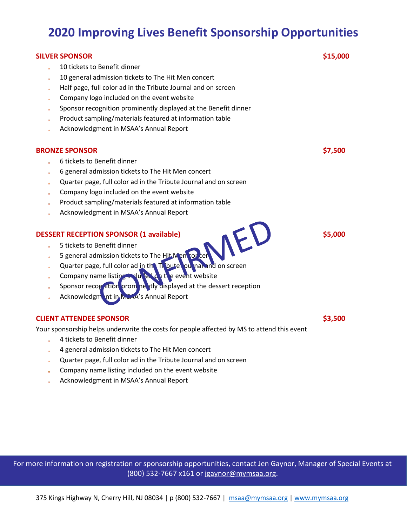| <b>SILVER SPONSOR</b>                                                                               | \$15,000 |
|-----------------------------------------------------------------------------------------------------|----------|
| 10 tickets to Benefit dinner                                                                        |          |
| 10 general admission tickets to The Hit Men concert                                                 |          |
| Half page, full color ad in the Tribute Journal and on screen                                       |          |
| Company logo included on the event website                                                          |          |
| Sponsor recognition prominently displayed at the Benefit dinner                                     |          |
| Product sampling/materials featured at information table                                            |          |
| Acknowledgment in MSAA's Annual Report                                                              |          |
| <b>BRONZE SPONSOR</b>                                                                               | \$7,500  |
| 6 tickets to Benefit dinner                                                                         |          |
| 6 general admission tickets to The Hit Men concert                                                  |          |
| Quarter page, full color ad in the Tribute Journal and on screen                                    |          |
| Company logo included on the event website                                                          |          |
| Product sampling/materials featured at information table                                            |          |
| Acknowledgment in MSAA's Annual Report                                                              |          |
| S general admission tickets to The Hit Men Totter<br><b>DESSERT RECEPTION SPONSOR (1 available)</b> | \$5,000  |
|                                                                                                     |          |
|                                                                                                     |          |
|                                                                                                     |          |
| Company name listing maluled on the event website                                                   |          |
| Sponsor recognition prom he tly displayed at the dessert reception                                  |          |
| Acknowledgm nt in MSAA's Annual Report                                                              |          |
| <b>CLIENT ATTENDEE SPONSOR</b>                                                                      | \$3,500  |
| Your sponsorship helps underwrite the costs for people affected by MS to attend this event          |          |
| 4 tickets to Benefit dinner<br>$\dot{\pi}$                                                          |          |
| 4 general admission tickets to The Hit Men concert<br>$\ddot{\phantom{1}}$                          |          |
| Quarter page, full color ad in the Tribute Journal and on screen                                    |          |
| Company name listing included on the event website                                                  |          |
| Acknowledgment in MSAA's Annual Report                                                              |          |

For more information on registration or sponsorship opportunities, contact Jen Gaynor, Manager of Special Events at (800) 532-7667 x161 or [jgaynor@mymsaa.org.](mailto:jgaynor@mymsaa.org)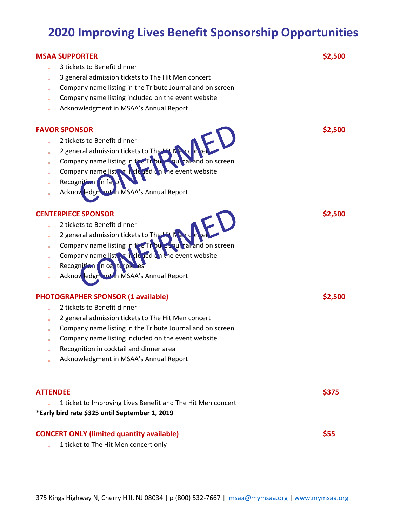## **MSAA SUPPORTER \$2,500** 3 tickets to Benefit dinner 3 general admission tickets to The Hit Men concert Company name listing in the Tribute Journal and on screen Company name listing included on the event website Acknowledgment in MSAA's Annual Report **FAVOR SPONSOR** \$2,500 2 tickets to Benefit dinner 2 general admission tickets to The Company name listing in the Tribute Journal and on screen Company name listing included on the event website Recognition on fa Acknowledgment in MSAA's Annual Report **CENTERPIECE SPONSOR** \$2,500 2 tickets to Benefit dinner 2 general admission tickets to The Company name listing in the Tribute Journal and on screen Company name listing in clu and on the event website Recognition on ce Acknowledgment in MSAA's Annual Report **PHOTOGRAPHER SPONSOR (1 available) \$2,500** 2 tickets to Benefit dinner 2 general admission tickets to The Hit Men concert Company name listing in the Tribute Journal and on screen Company name listing included on the event website Recognition in cocktail and dinner area Acknowledgment in MSAA's Annual Report **ATTENDEE \$375** 1 ticket to Improving Lives Benefit and The Hit Men concert **\*Early bird rate \$325 until September 1, 2019 CONCERT ONLY (limited quantity available) \$55** 1 ticket to The Hit Men concert only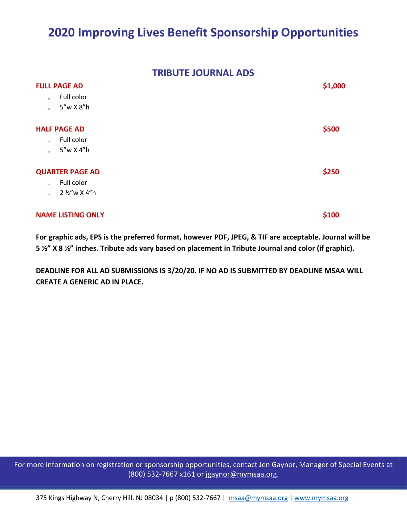#### **TRIBUTE JOURNAL ADS**

| <b>FULL PAGE AD</b>          |       |  |  |
|------------------------------|-------|--|--|
| Full color<br>$\frac{1}{N}$  |       |  |  |
| 5"w X 8"h<br>$\frac{1}{2}$   |       |  |  |
| <b>HALF PAGE AD</b>          | \$500 |  |  |
| Full color<br>$\pm$          |       |  |  |
| 5"w X 4"h<br>÷.              |       |  |  |
| <b>QUARTER PAGE AD</b>       | \$250 |  |  |
| Full color<br>$\mathbf{r}$   |       |  |  |
| 2 1/2"w X 4"h<br>$\Phi^{-1}$ |       |  |  |
| <b>NAME LISTING ONLY</b>     | \$100 |  |  |

**For graphic ads, EPS is the preferred format, however PDF, JPEG, & TIF are acceptable. Journal will be 5 ½" X 8 ½" inches. Tribute ads vary based on placement in Tribute Journal and color (if graphic).**

**DEADLINE FOR ALL AD SUBMISSIONS IS 3/20/20. IF NO AD IS SUBMITTED BY DEADLINE MSAA WILL CREATE A GENERIC AD IN PLACE.**

For more information on registration or sponsorship opportunities, contact Jen Gaynor, Manager of Special Events at (800) 532-7667 x161 or [jgaynor@mymsaa.org.](mailto:jgaynor@mymsaa.org) (800) 532-7667 x161 or [jgaynor@mymsaa.org.](mailto:jgaynor@mymsaa.org) (800) 532-7667 x161 or [jgaynor@mymsaa.org.](mailto:jgaynor@mymsaa.org)